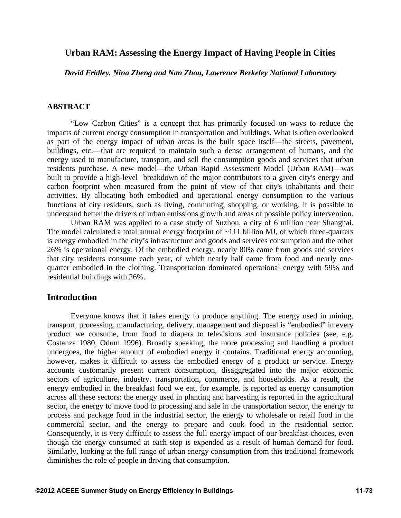## **Urban RAM: Assessing the Energy Impact of Having People in Cities**

*David Fridley, Nina Zheng and Nan Zhou, Lawrence Berkeley National Laboratory* 

### **ABSTRACT**

"Low Carbon Cities" is a concept that has primarily focused on ways to reduce the impacts of current energy consumption in transportation and buildings. What is often overlooked as part of the energy impact of urban areas is the built space itself—the streets, pavement, buildings, etc.—that are required to maintain such a dense arrangement of humans, and the energy used to manufacture, transport, and sell the consumption goods and services that urban residents purchase. A new model—the Urban Rapid Assessment Model (Urban RAM)—was built to provide a high-level breakdown of the major contributors to a given city's energy and carbon footprint when measured from the point of view of that city's inhabitants and their activities. By allocating both embodied and operational energy consumption to the various functions of city residents, such as living, commuting, shopping, or working, it is possible to understand better the drivers of urban emissions growth and areas of possible policy intervention.

Urban RAM was applied to a case study of Suzhou, a city of 6 million near Shanghai. The model calculated a total annual energy footprint of ~111 billion MJ, of which three-quarters is energy embodied in the city's infrastructure and goods and services consumption and the other 26% is operational energy. Of the embodied energy, nearly 80% came from goods and services that city residents consume each year, of which nearly half came from food and nearly onequarter embodied in the clothing. Transportation dominated operational energy with 59% and residential buildings with 26%.

### **Introduction**

Everyone knows that it takes energy to produce anything. The energy used in mining, transport, processing, manufacturing, delivery, management and disposal is "embodied" in every product we consume, from food to diapers to televisions and insurance policies (see, e.g. Costanza 1980, Odum 1996). Broadly speaking, the more processing and handling a product undergoes, the higher amount of embodied energy it contains. Traditional energy accounting, however, makes it difficult to assess the embodied energy of a product or service. Energy accounts customarily present current consumption, disaggregated into the major economic sectors of agriculture, industry, transportation, commerce, and households. As a result, the energy embodied in the breakfast food we eat, for example, is reported as energy consumption across all these sectors: the energy used in planting and harvesting is reported in the agricultural sector, the energy to move food to processing and sale in the transportation sector, the energy to process and package food in the industrial sector, the energy to wholesale or retail food in the commercial sector, and the energy to prepare and cook food in the residential sector. Consequently, it is very difficult to assess the full energy impact of our breakfast choices, even though the energy consumed at each step is expended as a result of human demand for food. Similarly, looking at the full range of urban energy consumption from this traditional framework diminishes the role of people in driving that consumption.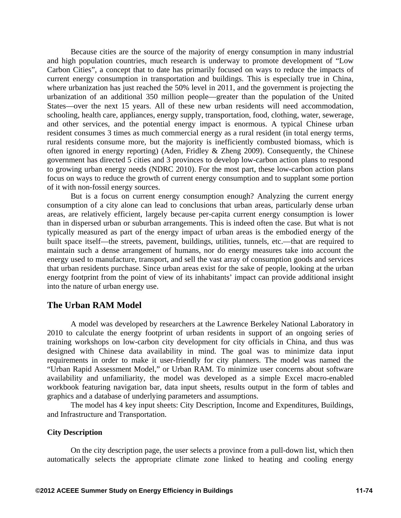Because cities are the source of the majority of energy consumption in many industrial and high population countries, much research is underway to promote development of "Low Carbon Cities", a concept that to date has primarily focused on ways to reduce the impacts of current energy consumption in transportation and buildings. This is especially true in China, where urbanization has just reached the 50% level in 2011, and the government is projecting the urbanization of an additional 350 million people—greater than the population of the United States—over the next 15 years. All of these new urban residents will need accommodation, schooling, health care, appliances, energy supply, transportation, food, clothing, water, sewerage, and other services, and the potential energy impact is enormous. A typical Chinese urban resident consumes 3 times as much commercial energy as a rural resident (in total energy terms, rural residents consume more, but the majority is inefficiently combusted biomass, which is often ignored in energy reporting) (Aden, Fridley & Zheng 2009). Consequently, the Chinese government has directed 5 cities and 3 provinces to develop low-carbon action plans to respond to growing urban energy needs (NDRC 2010). For the most part, these low-carbon action plans focus on ways to reduce the growth of current energy consumption and to supplant some portion of it with non-fossil energy sources.

But is a focus on current energy consumption enough? Analyzing the current energy consumption of a city alone can lead to conclusions that urban areas, particularly dense urban areas, are relatively efficient, largely because per-capita current energy consumption is lower than in dispersed urban or suburban arrangements. This is indeed often the case. But what is not typically measured as part of the energy impact of urban areas is the embodied energy of the built space itself—the streets, pavement, buildings, utilities, tunnels, etc.—that are required to maintain such a dense arrangement of humans, nor do energy measures take into account the energy used to manufacture, transport, and sell the vast array of consumption goods and services that urban residents purchase. Since urban areas exist for the sake of people, looking at the urban energy footprint from the point of view of its inhabitants' impact can provide additional insight into the nature of urban energy use.

### **The Urban RAM Model**

A model was developed by researchers at the Lawrence Berkeley National Laboratory in 2010 to calculate the energy footprint of urban residents in support of an ongoing series of training workshops on low-carbon city development for city officials in China, and thus was designed with Chinese data availability in mind. The goal was to minimize data input requirements in order to make it user-friendly for city planners. The model was named the "Urban Rapid Assessment Model," or Urban RAM. To minimize user concerns about software availability and unfamiliarity, the model was developed as a simple Excel macro-enabled workbook featuring navigation bar, data input sheets, results output in the form of tables and graphics and a database of underlying parameters and assumptions.

The model has 4 key input sheets: City Description, Income and Expenditures, Buildings, and Infrastructure and Transportation.

#### **City Description**

On the city description page, the user selects a province from a pull-down list, which then automatically selects the appropriate climate zone linked to heating and cooling energy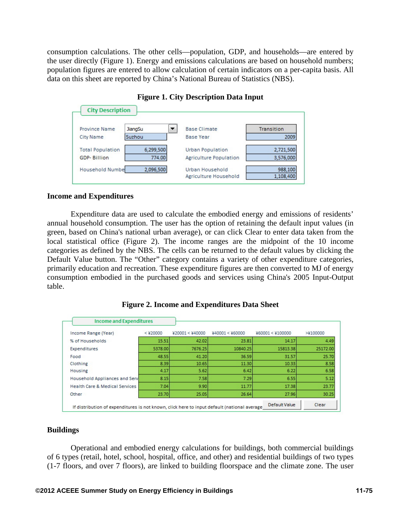consumption calculations. The other cells—population, GDP, and households—are entered by the user directly (Figure 1). Energy and emissions calculations are based on household numbers; population figures are entered to allow calculation of certain indicators on a per-capita basis. All data on this sheet are reported by China's National Bureau of Statistics (NBS).



## **Figure 1. City Description Data Input**

### **Income and Expenditures**

Expenditure data are used to calculate the embodied energy and emissions of residents' annual household consumption. The user has the option of retaining the default input values (in green, based on China's national urban average), or can click Clear to enter data taken from the local statistical office (Figure 2). The income ranges are the midpoint of the 10 income categories as defined by the NBS. The cells can be returned to the default values by clicking the Default Value button. The "Other" category contains a variety of other expenditure categories, primarily education and recreation. These expenditure figures are then converted to MJ of energy consumption embodied in the purchased goods and services using China's 2005 Input-Output table.

| <b>Income and Expenditures</b>                                                              |            |                 |                 |                  |          |
|---------------------------------------------------------------------------------------------|------------|-----------------|-----------------|------------------|----------|
| Income Range (Year)                                                                         | $<$ ¥20000 | ¥20001 < ¥40000 | ¥40001 < ¥60000 | ¥60001 < ¥100000 | >¥100000 |
| % of Households                                                                             | 15.51      | 42.02           | 23.81           | 14.17            | 4.49     |
| Expenditures                                                                                | 5378.00    | 7676.25         | 10840.25        | 15813.38         | 25172.00 |
| Food                                                                                        | 48.55      | 41.20           | 36.59           | 31.57            | 25.70    |
| Clothing                                                                                    | 8.39       | 10.65           | 11.30           | 10.33            | 8.58     |
| Housing                                                                                     | 4.17       | 5.62            | 6.42            | 6.22             | 6.58     |
| Household Appliances and Serv                                                               | 8.15       | 7.58            | 7.29            | 6.55             | 5.12     |
| <b>Health Care &amp; Medical Services</b>                                                   | 7.04       | 9.90            | 11.77           | 17.38            | 23.77    |
| Other                                                                                       | 23.70      | 25.05           | 26.64           | 27.96            | 30.25    |
| If distribution of expenditures is not known, click here to input default (national average |            |                 |                 | Default Value    | Clear    |

**Figure 2. Income and Expenditures Data Sheet** 

### **Buildings**

Operational and embodied energy calculations for buildings, both commercial buildings of 6 types (retail, hotel, school, hospital, office, and other) and residential buildings of two types (1-7 floors, and over 7 floors), are linked to building floorspace and the climate zone. The user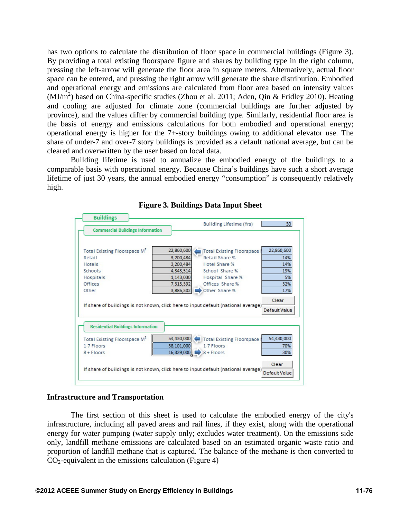has two options to calculate the distribution of floor space in commercial buildings (Figure 3). By providing a total existing floorspace figure and shares by building type in the right column, pressing the left-arrow will generate the floor area in square meters. Alternatively, actual floor space can be entered, and pressing the right arrow will generate the share distribution. Embodied and operational energy and emissions are calculated from floor area based on intensity values  $(MJ/m<sup>2</sup>)$  based on China-specific studies (Zhou et al. 2011; Aden, Qin & Fridley 2010). Heating and cooling are adjusted for climate zone (commercial buildings are further adjusted by province), and the values differ by commercial building type. Similarly, residential floor area is the basis of energy and emissions calculations for both embodied and operational energy; operational energy is higher for the 7+-story buildings owing to additional elevator use. The share of under-7 and over-7 story buildings is provided as a default national average, but can be cleared and overwritten by the user based on local data.

Building lifetime is used to annualize the embodied energy of the buildings to a comparable basis with operational energy. Because China's buildings have such a short average lifetime of just 30 years, the annual embodied energy "consumption" is consequently relatively high.



### **Figure 3. Buildings Data Input Sheet**

#### **Infrastructure and Transportation**

The first section of this sheet is used to calculate the embodied energy of the city's infrastructure, including all paved areas and rail lines, if they exist, along with the operational energy for water pumping (water supply only; excludes water treatment). On the emissions side only, landfill methane emissions are calculated based on an estimated organic waste ratio and proportion of landfill methane that is captured. The balance of the methane is then converted to  $CO<sub>2</sub>$ -equivalent in the emissions calculation (Figure 4)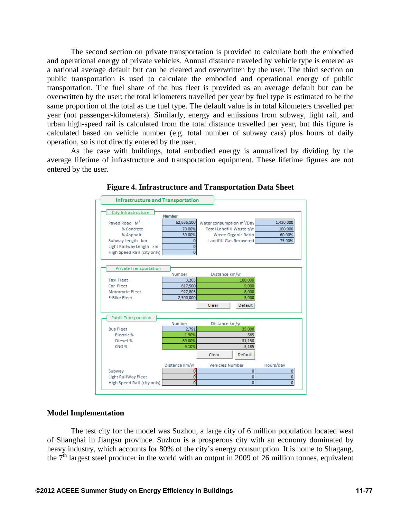The second section on private transportation is provided to calculate both the embodied and operational energy of private vehicles. Annual distance traveled by vehicle type is entered as a national average default but can be cleared and overwritten by the user. The third section on public transportation is used to calculate the embodied and operational energy of public transportation. The fuel share of the bus fleet is provided as an average default but can be overwritten by the user; the total kilometers travelled per year by fuel type is estimated to be the same proportion of the total as the fuel type. The default value is in total kilometers travelled per year (not passenger-kilometers). Similarly, energy and emissions from subway, light rail, and urban high-speed rail is calculated from the total distance travelled per year, but this figure is calculated based on vehicle number (e.g. total number of subway cars) plus hours of daily operation, so is not directly entered by the user.

As the case with buildings, total embodied energy is annualized by dividing by the average lifetime of infrastructure and transportation equipment. These lifetime figures are not entered by the user.



**Figure 4. Infrastructure and Transportation Data Sheet**

#### **Model Implementation**

The test city for the model was Suzhou, a large city of 6 million population located west of Shanghai in Jiangsu province. Suzhou is a prosperous city with an economy dominated by heavy industry, which accounts for 80% of the city's energy consumption. It is home to Shagang, the  $7<sup>th</sup>$  largest steel producer in the world with an output in 2009 of 26 million tonnes, equivalent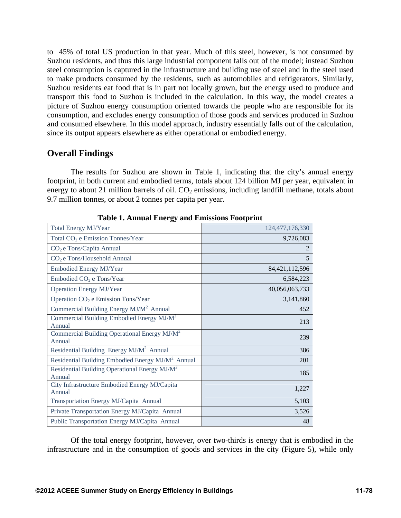to 45% of total US production in that year. Much of this steel, however, is not consumed by Suzhou residents, and thus this large industrial component falls out of the model; instead Suzhou steel consumption is captured in the infrastructure and building use of steel and in the steel used to make products consumed by the residents, such as automobiles and refrigerators. Similarly, Suzhou residents eat food that is in part not locally grown, but the energy used to produce and transport this food to Suzhou is included in the calculation. In this way, the model creates a picture of Suzhou energy consumption oriented towards the people who are responsible for its consumption, and excludes energy consumption of those goods and services produced in Suzhou and consumed elsewhere. In this model approach, industry essentially falls out of the calculation, since its output appears elsewhere as either operational or embodied energy.

# **Overall Findings**

The results for Suzhou are shown in Table 1, indicating that the city's annual energy footprint, in both current and embodied terms, totals about 124 billion MJ per year, equivalent in energy to about 21 million barrels of oil.  $CO<sub>2</sub>$  emissions, including landfill methane, totals about 9.7 million tonnes, or about 2 tonnes per capita per year.

| Table 1. Annual Energy and Ennostens Poolprint                     |                   |
|--------------------------------------------------------------------|-------------------|
| <b>Total Energy MJ/Year</b>                                        | 124,477,176,330   |
| Total CO <sub>2</sub> e Emission Tonnes/Year                       | 9,726,083         |
| CO <sub>2</sub> e Tons/Capita Annual                               | 2                 |
| CO <sub>2</sub> e Tons/Household Annual                            | 5                 |
| <b>Embodied Energy MJ/Year</b>                                     | 84, 421, 112, 596 |
| Embodied CO <sub>2</sub> e Tons/Year                               | 6,584,223         |
| <b>Operation Energy MJ/Year</b>                                    | 40,056,063,733    |
| Operation CO <sub>2</sub> e Emission Tons/Year                     | 3,141,860         |
| Commercial Building Energy MJ/M <sup>2</sup> Annual                | 452               |
| Commercial Building Embodied Energy MJ/M <sup>2</sup><br>Annual    | 213               |
| Commercial Building Operational Energy MJ/M <sup>2</sup><br>Annual | 239               |
| Residential Building Energy MJ/M <sup>2</sup> Annual               | 386               |
| Residential Building Embodied Energy MJ/M <sup>2</sup> Annual      | 201               |
| Residential Building Operational Energy $MJ/M^2$<br>Annual         | 185               |
| City Infrastructure Embodied Energy MJ/Capita<br>Annual            | 1,227             |
| Transportation Energy MJ/Capita Annual                             | 5,103             |
| Private Transportation Energy MJ/Capita Annual                     | 3,526             |
| Public Transportation Energy MJ/Capita Annual                      | 48                |

**Table 1. Annual Energy and Emissions Footprint** 

Of the total energy footprint, however, over two-thirds is energy that is embodied in the infrastructure and in the consumption of goods and services in the city (Figure 5), while only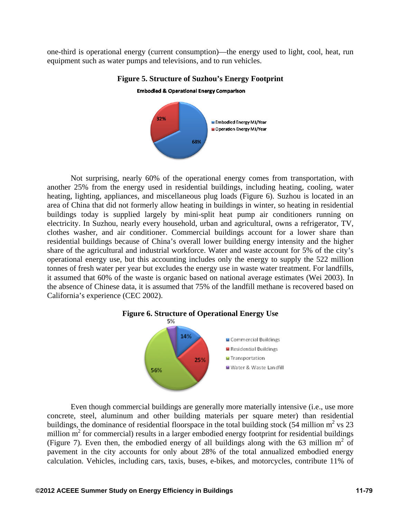one-third is operational energy (current consumption)—the energy used to light, cool, heat, run equipment such as water pumps and televisions, and to run vehicles.



**Figure 5. Structure of Suzhou's Energy Footprint** 

Not surprising, nearly 60% of the operational energy comes from transportation, with another 25% from the energy used in residential buildings, including heating, cooling, water heating, lighting, appliances, and miscellaneous plug loads (Figure 6). Suzhou is located in an area of China that did not formerly allow heating in buildings in winter, so heating in residential buildings today is supplied largely by mini-split heat pump air conditioners running on electricity. In Suzhou, nearly every household, urban and agricultural, owns a refrigerator, TV, clothes washer, and air conditioner. Commercial buildings account for a lower share than residential buildings because of China's overall lower building energy intensity and the higher share of the agricultural and industrial workforce. Water and waste account for 5% of the city's operational energy use, but this accounting includes only the energy to supply the 522 million tonnes of fresh water per year but excludes the energy use in waste water treatment. For landfills, it assumed that 60% of the waste is organic based on national average estimates (Wei 2003). In the absence of Chinese data, it is assumed that 75% of the landfill methane is recovered based on California's experience (CEC 2002).



Even though commercial buildings are generally more materially intensive (i.e., use more concrete, steel, aluminum and other building materials per square meter) than residential buildings, the dominance of residential floorspace in the total building stock (54 million  $m^2$  vs 23 million  $m<sup>2</sup>$  for commercial) results in a larger embodied energy footprint for residential buildings (Figure 7). Even then, the embodied energy of all buildings along with the 63 million  $m^2$  of pavement in the city accounts for only about 28% of the total annualized embodied energy calculation. Vehicles, including cars, taxis, buses, e-bikes, and motorcycles, contribute 11% of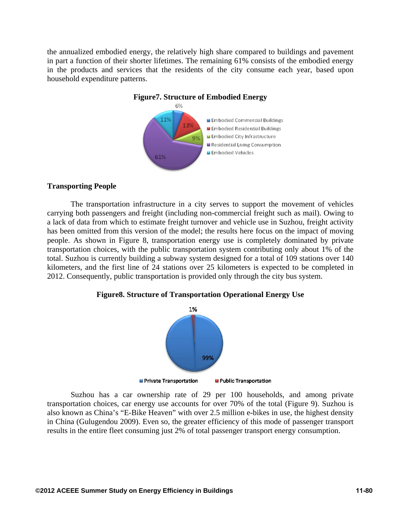the annualized embodied energy, the relatively high share compared to buildings and pavement in part a function of their shorter lifetimes. The remaining 61% consists of the embodied energy in the products and services that the residents of the city consume each year, based upon household expenditure patterns.



### **Figure7. Structure of Embodied Energy**

### **Transporting People**

The transportation infrastructure in a city serves to support the movement of vehicles carrying both passengers and freight (including non-commercial freight such as mail). Owing to a lack of data from which to estimate freight turnover and vehicle use in Suzhou, freight activity has been omitted from this version of the model; the results here focus on the impact of moving people. As shown in Figure 8, transportation energy use is completely dominated by private transportation choices, with the public transportation system contributing only about 1% of the total. Suzhou is currently building a subway system designed for a total of 109 stations over 140 kilometers, and the first line of 24 stations over 25 kilometers is expected to be completed in 2012. Consequently, public transportation is provided only through the city bus system.

### **Figure8. Structure of Transportation Operational Energy Use**



Suzhou has a car ownership rate of 29 per 100 households, and among private transportation choices, car energy use accounts for over 70% of the total (Figure 9). Suzhou is also known as China's "E-Bike Heaven" with over 2.5 million e-bikes in use, the highest density in China (Gulugendou 2009). Even so, the greater efficiency of this mode of passenger transport results in the entire fleet consuming just 2% of total passenger transport energy consumption.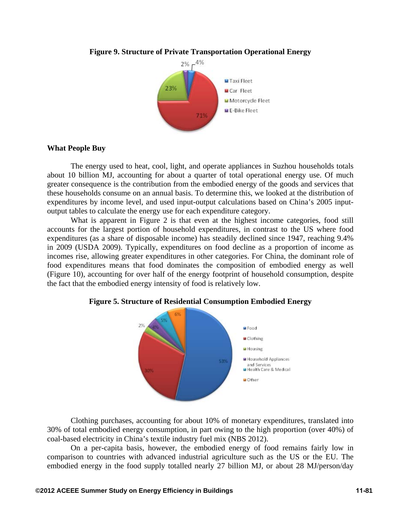

### **Figure 9. Structure of Private Transportation Operational Energy**

### **What People Buy**

The energy used to heat, cool, light, and operate appliances in Suzhou households totals about 10 billion MJ, accounting for about a quarter of total operational energy use. Of much greater consequence is the contribution from the embodied energy of the goods and services that these households consume on an annual basis. To determine this, we looked at the distribution of expenditures by income level, and used input-output calculations based on China's 2005 inputoutput tables to calculate the energy use for each expenditure category.

What is apparent in Figure 2 is that even at the highest income categories, food still accounts for the largest portion of household expenditures, in contrast to the US where food expenditures (as a share of disposable income) has steadily declined since 1947, reaching 9.4% in 2009 (USDA 2009). Typically, expenditures on food decline as a proportion of income as incomes rise, allowing greater expenditures in other categories. For China, the dominant role of food expenditures means that food dominates the composition of embodied energy as well (Figure 10), accounting for over half of the energy footprint of household consumption, despite the fact that the embodied energy intensity of food is relatively low.





Clothing purchases, accounting for about 10% of monetary expenditures, translated into 30% of total embodied energy consumption, in part owing to the high proportion (over 40%) of coal-based electricity in China's textile industry fuel mix (NBS 2012).

On a per-capita basis, however, the embodied energy of food remains fairly low in comparison to countries with advanced industrial agriculture such as the US or the EU. The embodied energy in the food supply totalled nearly 27 billion MJ, or about 28 MJ/person/day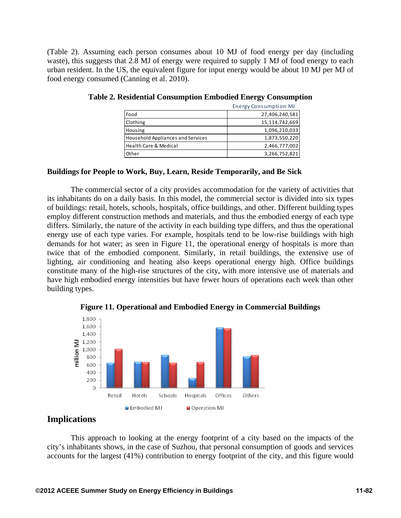(Table 2). Assuming each person consumes about 10 MJ of food energy per day (including waste), this suggests that 2.8 MJ of energy were required to supply 1 MJ of food energy to each urban resident. In the US, the equivalent figure for input energy would be about 10 MJ per MJ of food energy consumed (Canning et al. 2010).

|                                          | <b>Energy Consumption MJ</b> |
|------------------------------------------|------------------------------|
| Food                                     | 27,406,240,581               |
| Clothing                                 | 15,114,742,669               |
| Housing                                  | 1,096,210,033                |
| <b>Household Appliances and Services</b> | 1,873,550,220                |
| <b>Health Care &amp; Medical</b>         | 2,466,777,002                |
| Other                                    | 3,266,752,821                |

### **Buildings for People to Work, Buy, Learn, Reside Temporarily, and Be Sick**

The commercial sector of a city provides accommodation for the variety of activities that its inhabitants do on a daily basis. In this model, the commercial sector is divided into six types of buildings: retail, hotels, schools, hospitals, office buildings, and other. Different building types employ different construction methods and materials, and thus the embodied energy of each type differs. Similarly, the nature of the activity in each building type differs, and thus the operational energy use of each type varies. For example, hospitals tend to be low-rise buildings with high demands for hot water; as seen in Figure 11, the operational energy of hospitals is more than twice that of the embodied component. Similarly, in retail buildings, the extensive use of lighting, air conditioning and heating also keeps operational energy high. Office buildings constitute many of the high-rise structures of the city, with more intensive use of materials and have high embodied energy intensities but have fewer hours of operations each week than other building types.



**Figure 11. Operational and Embodied Energy in Commercial Buildings** 

# **Implications**

This approach to looking at the energy footprint of a city based on the impacts of the city's inhabitants shows, in the case of Suzhou, that personal consumption of goods and services accounts for the largest (41%) contribution to energy footprint of the city, and this figure would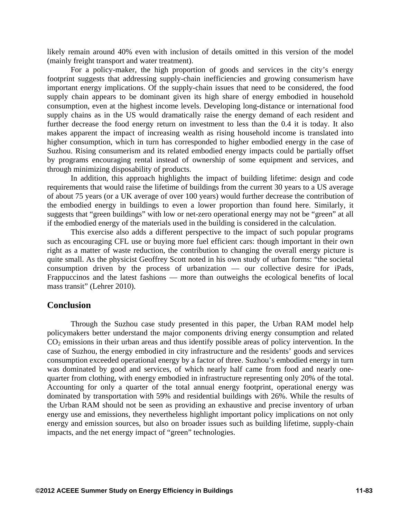likely remain around 40% even with inclusion of details omitted in this version of the model (mainly freight transport and water treatment).

For a policy-maker, the high proportion of goods and services in the city's energy footprint suggests that addressing supply-chain inefficiencies and growing consumerism have important energy implications. Of the supply-chain issues that need to be considered, the food supply chain appears to be dominant given its high share of energy embodied in household consumption, even at the highest income levels. Developing long-distance or international food supply chains as in the US would dramatically raise the energy demand of each resident and further decrease the food energy return on investment to less than the 0.4 it is today. It also makes apparent the impact of increasing wealth as rising household income is translated into higher consumption, which in turn has corresponded to higher embodied energy in the case of Suzhou. Rising consumerism and its related embodied energy impacts could be partially offset by programs encouraging rental instead of ownership of some equipment and services, and through minimizing disposability of products.

In addition, this approach highlights the impact of building lifetime: design and code requirements that would raise the lifetime of buildings from the current 30 years to a US average of about 75 years (or a UK average of over 100 years) would further decrease the contribution of the embodied energy in buildings to even a lower proportion than found here. Similarly, it suggests that "green buildings" with low or net-zero operational energy may not be "green" at all if the embodied energy of the materials used in the building is considered in the calculation.

This exercise also adds a different perspective to the impact of such popular programs such as encouraging CFL use or buying more fuel efficient cars: though important in their own right as a matter of waste reduction, the contribution to changing the overall energy picture is quite small. As the physicist Geoffrey Scott noted in his own study of urban forms: "the societal consumption driven by the process of urbanization — our collective desire for iPads, Frappuccinos and the latest fashions — more than outweighs the ecological benefits of local mass transit" (Lehrer 2010).

### **Conclusion**

Through the Suzhou case study presented in this paper, the Urban RAM model help policymakers better understand the major components driving energy consumption and related  $CO<sub>2</sub>$  emissions in their urban areas and thus identify possible areas of policy intervention. In the case of Suzhou, the energy embodied in city infrastructure and the residents' goods and services consumption exceeded operational energy by a factor of three. Suzhou's embodied energy in turn was dominated by good and services, of which nearly half came from food and nearly onequarter from clothing, with energy embodied in infrastructure representing only 20% of the total. Accounting for only a quarter of the total annual energy footprint, operational energy was dominated by transportation with 59% and residential buildings with 26%. While the results of the Urban RAM should not be seen as providing an exhaustive and precise inventory of urban energy use and emissions, they nevertheless highlight important policy implications on not only energy and emission sources, but also on broader issues such as building lifetime, supply-chain impacts, and the net energy impact of "green" technologies.